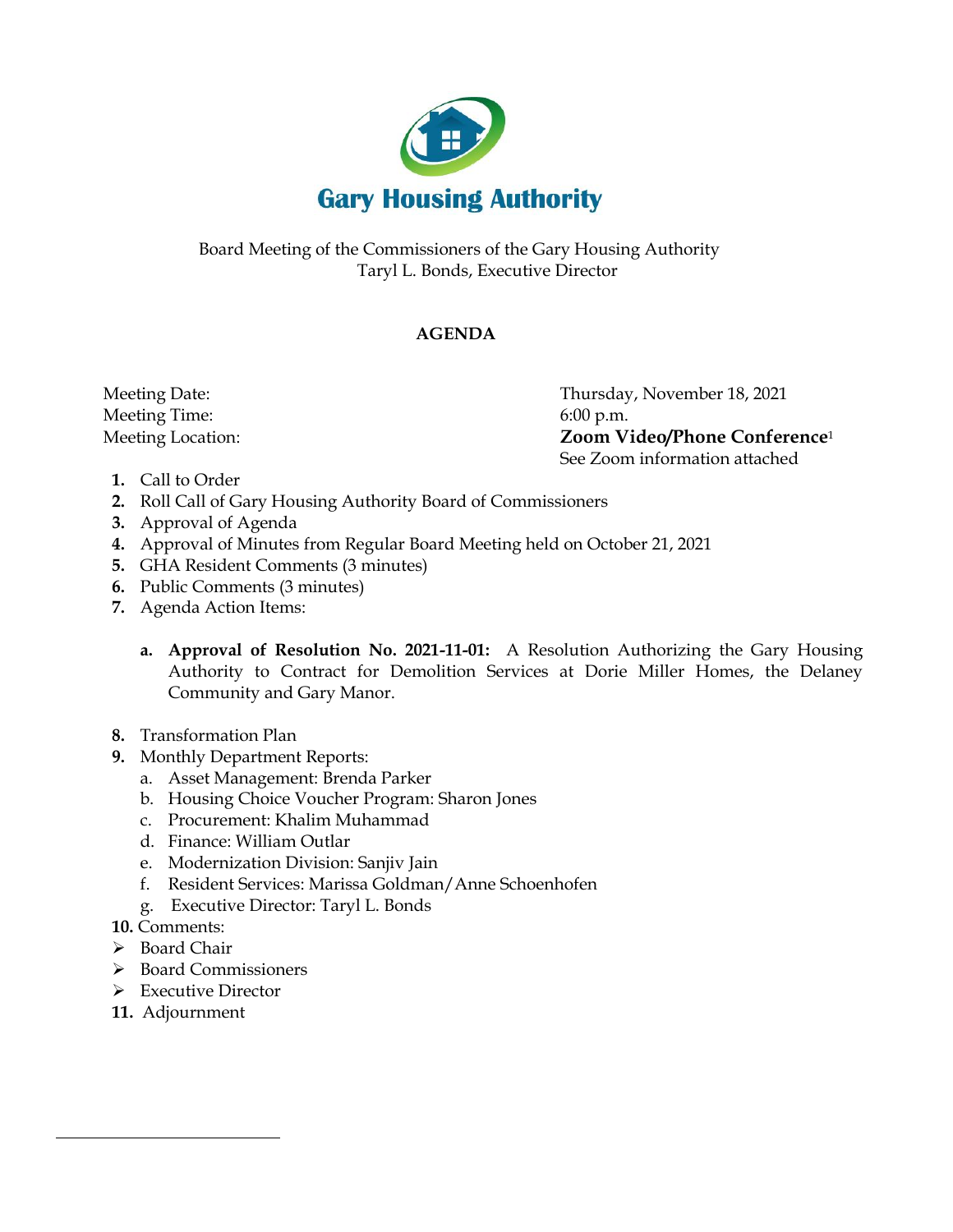

Board Meeting of the Commissioners of the Gary Housing Authority Taryl L. Bonds, Executive Director

## **AGENDA**

Meeting Time: 6:00 p.m.

 Meeting Date: Thursday, November 18, 2021 Meeting Location: **Zoom Video/Phone Conference**<sup>1</sup> See Zoom information attached

- **1.** Call to Order
- **2.** Roll Call of Gary Housing Authority Board of Commissioners
- **3.** Approval of Agenda
- **4.** Approval of Minutes from Regular Board Meeting held on October 21, 2021
- **5.** GHA Resident Comments (3 minutes)
- **6.** Public Comments (3 minutes)
- **7.** Agenda Action Items:
	- **a. Approval of Resolution No. 2021-11-01:** A Resolution Authorizing the Gary Housing Authority to Contract for Demolition Services at Dorie Miller Homes, the Delaney Community and Gary Manor.
- **8.** Transformation Plan
- **9.** Monthly Department Reports:
	- a. Asset Management: Brenda Parker
	- b. Housing Choice Voucher Program: Sharon Jones
	- c. Procurement: Khalim Muhammad
	- d. Finance: William Outlar
	- e. Modernization Division: Sanjiv Jain
	- f. Resident Services: Marissa Goldman/Anne Schoenhofen
	- g. Executive Director: Taryl L. Bonds
- **10.** Comments:
- ➢ Board Chair
- ➢ Board Commissioners
- ➢ Executive Director
- **11.** Adjournment